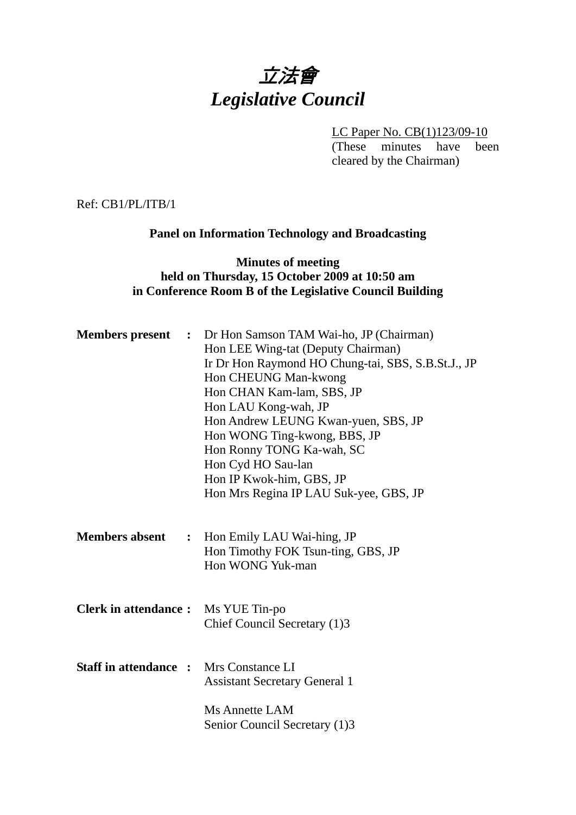# 立法會 *Legislative Council*

LC Paper No. CB(1)123/09-10

(These minutes have been cleared by the Chairman)

Ref: CB1/PL/ITB/1

# **Panel on Information Technology and Broadcasting**

# **Minutes of meeting held on Thursday, 15 October 2009 at 10:50 am in Conference Room B of the Legislative Council Building**

| <b>Members present</b>                        | : Dr Hon Samson TAM Wai-ho, JP (Chairman)<br>Hon LEE Wing-tat (Deputy Chairman)<br>Ir Dr Hon Raymond HO Chung-tai, SBS, S.B.St.J., JP<br>Hon CHEUNG Man-kwong<br>Hon CHAN Kam-lam, SBS, JP<br>Hon LAU Kong-wah, JP<br>Hon Andrew LEUNG Kwan-yuen, SBS, JP<br>Hon WONG Ting-kwong, BBS, JP<br>Hon Ronny TONG Ka-wah, SC<br>Hon Cyd HO Sau-lan<br>Hon IP Kwok-him, GBS, JP<br>Hon Mrs Regina IP LAU Suk-yee, GBS, JP |
|-----------------------------------------------|--------------------------------------------------------------------------------------------------------------------------------------------------------------------------------------------------------------------------------------------------------------------------------------------------------------------------------------------------------------------------------------------------------------------|
| <b>Members absent</b><br>$\ddot{\bullet}$     | Hon Emily LAU Wai-hing, JP<br>Hon Timothy FOK Tsun-ting, GBS, JP<br>Hon WONG Yuk-man                                                                                                                                                                                                                                                                                                                               |
| <b>Clerk in attendance:</b>                   | Ms YUE Tin-po<br>Chief Council Secretary (1)3                                                                                                                                                                                                                                                                                                                                                                      |
| <b>Staff in attendance :</b> Mrs Constance LI | <b>Assistant Secretary General 1</b>                                                                                                                                                                                                                                                                                                                                                                               |
|                                               | Ms Annette LAM<br>Senior Council Secretary (1)3                                                                                                                                                                                                                                                                                                                                                                    |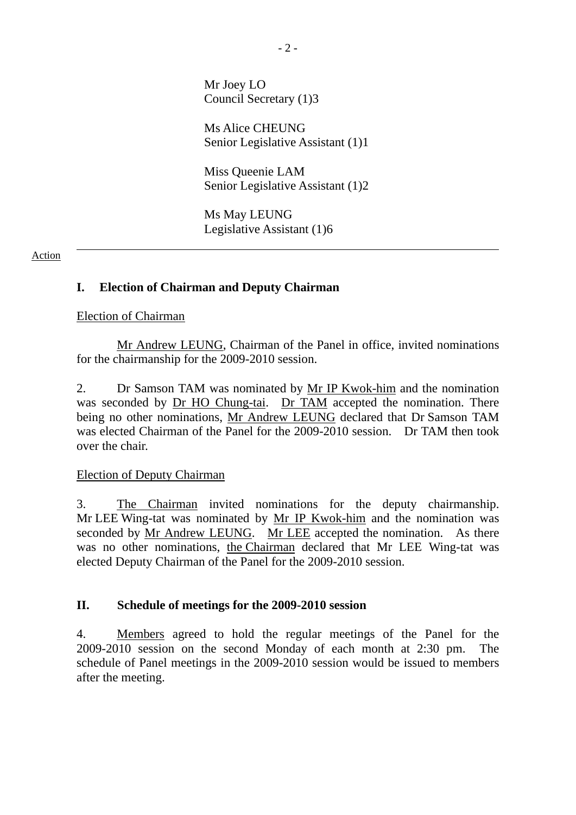Mr Joey LO Council Secretary (1)3

Ms Alice CHEUNG Senior Legislative Assistant (1)1

Miss Queenie LAM Senior Legislative Assistant (1)2

Ms May LEUNG Legislative Assistant (1)6

#### Action

## **I. Election of Chairman and Deputy Chairman**

#### Election of Chairman

 Mr Andrew LEUNG, Chairman of the Panel in office, invited nominations for the chairmanship for the 2009-2010 session.

2. Dr Samson TAM was nominated by Mr IP Kwok-him and the nomination was seconded by Dr HO Chung-tai. Dr TAM accepted the nomination. There being no other nominations, Mr Andrew LEUNG declared that Dr Samson TAM was elected Chairman of the Panel for the 2009-2010 session. Dr TAM then took over the chair.

## Election of Deputy Chairman

3. The Chairman invited nominations for the deputy chairmanship. Mr LEE Wing-tat was nominated by Mr IP Kwok-him and the nomination was seconded by Mr Andrew LEUNG. Mr LEE accepted the nomination. As there was no other nominations, the Chairman declared that Mr LEE Wing-tat was elected Deputy Chairman of the Panel for the 2009-2010 session.

## **II. Schedule of meetings for the 2009-2010 session**

4. Members agreed to hold the regular meetings of the Panel for the 2009-2010 session on the second Monday of each month at 2:30 pm. The schedule of Panel meetings in the 2009-2010 session would be issued to members after the meeting.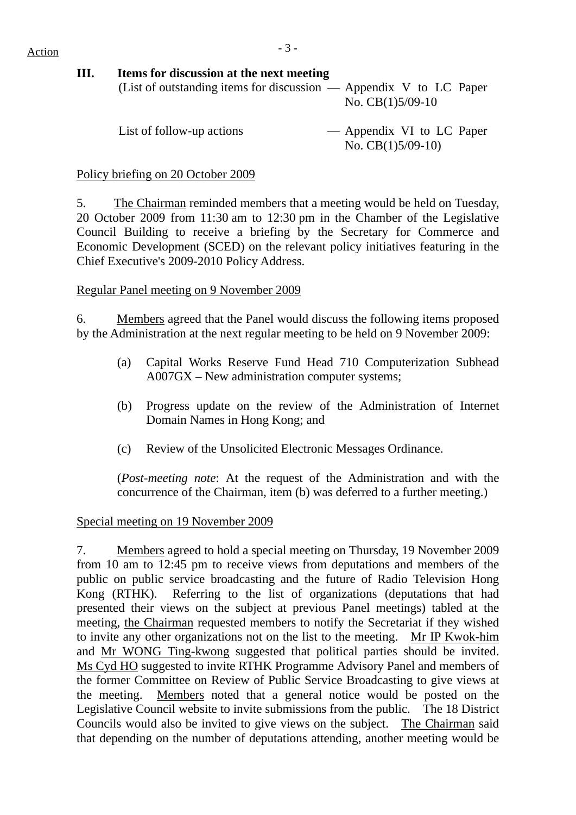# $Action$   $-3 -$

# **III. Items for discussion at the next meeting**

| (List of outstanding items for discussion $-$ Appendix V to LC Paper |                    |
|----------------------------------------------------------------------|--------------------|
|                                                                      | No. $CB(1)5/09-10$ |
|                                                                      |                    |

List of follow-up actions  $\qquad -$  Appendix VI to LC Paper No. CB(1)5/09-10)

## Policy briefing on 20 October 2009

5. The Chairman reminded members that a meeting would be held on Tuesday, 20 October 2009 from 11:30 am to 12:30 pm in the Chamber of the Legislative Council Building to receive a briefing by the Secretary for Commerce and Economic Development (SCED) on the relevant policy initiatives featuring in the Chief Executive's 2009-2010 Policy Address.

# Regular Panel meeting on 9 November 2009

6. Members agreed that the Panel would discuss the following items proposed by the Administration at the next regular meeting to be held on 9 November 2009:

- (a) Capital Works Reserve Fund Head 710 Computerization Subhead A007GX – New administration computer systems;
- (b) Progress update on the review of the Administration of Internet Domain Names in Hong Kong; and
- (c) Review of the Unsolicited Electronic Messages Ordinance.

(*Post-meeting note*: At the request of the Administration and with the concurrence of the Chairman, item (b) was deferred to a further meeting.)

# Special meeting on 19 November 2009

7. Members agreed to hold a special meeting on Thursday, 19 November 2009 from 10 am to 12:45 pm to receive views from deputations and members of the public on public service broadcasting and the future of Radio Television Hong Kong (RTHK). Referring to the list of organizations (deputations that had presented their views on the subject at previous Panel meetings) tabled at the meeting, the Chairman requested members to notify the Secretariat if they wished to invite any other organizations not on the list to the meeting. Mr IP Kwok-him and Mr WONG Ting-kwong suggested that political parties should be invited. Ms Cyd HO suggested to invite RTHK Programme Advisory Panel and members of the former Committee on Review of Public Service Broadcasting to give views at the meeting. Members noted that a general notice would be posted on the Legislative Council website to invite submissions from the public. The 18 District Councils would also be invited to give views on the subject. The Chairman said that depending on the number of deputations attending, another meeting would be